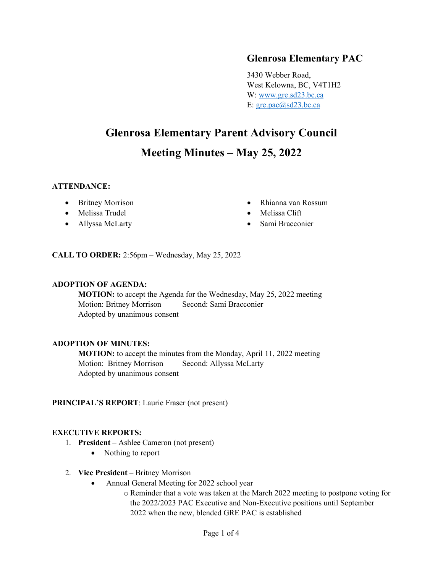## **Glenrosa Elementary PAC**

3430 Webber Road, West Kelowna, BC, V4T1H2 W: [www.gre.sd23.bc.ca](http://www.gre.sd23.bc.ca/) E:  $gre.pack@sd23.bc.ca$ 

# **Glenrosa Elementary Parent Advisory Council Meeting Minutes – May 25, 2022**

#### **ATTENDANCE:**

- Britney Morrison
- Melissa Trudel
- Allyssa McLarty
- Rhianna van Rossum
- Melissa Clift
- Sami Bracconier

**CALL TO ORDER:** 2:56pm – Wednesday, May 25, 2022

#### **ADOPTION OF AGENDA:**

**MOTION:** to accept the Agenda for the Wednesday, May 25, 2022 meeting Motion: Britney Morrison Second: Sami Bracconier Adopted by unanimous consent

## **ADOPTION OF MINUTES:**

**MOTION:** to accept the minutes from the Monday, April 11, 2022 meeting Motion: Britney Morrison Second: Allyssa McLarty Adopted by unanimous consent

## **PRINCIPAL'S REPORT**: Laurie Fraser (not present)

#### **EXECUTIVE REPORTS:**

- 1. **President** Ashlee Cameron (not present)
	- Nothing to report
- 2. **Vice President**  Britney Morrison
	- Annual General Meeting for 2022 school year
		- o Reminder that a vote was taken at the March 2022 meeting to postpone voting for the 2022/2023 PAC Executive and Non-Executive positions until September 2022 when the new, blended GRE PAC is established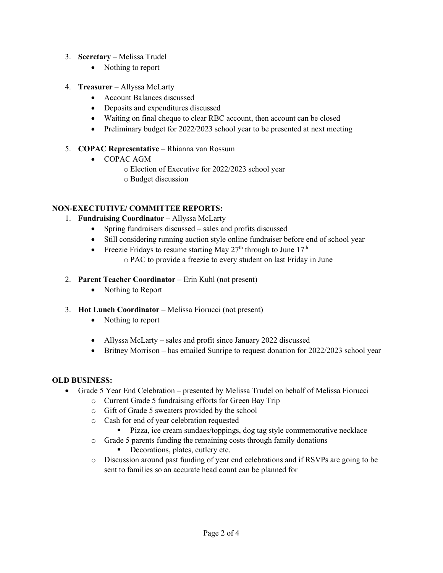- 3. **Secretary**  Melissa Trudel
	- Nothing to report
- 4. **Treasurer** Allyssa McLarty
	- Account Balances discussed
	- Deposits and expenditures discussed
	- Waiting on final cheque to clear RBC account, then account can be closed
	- Preliminary budget for 2022/2023 school year to be presented at next meeting

## 5. **COPAC Representative** – Rhianna van Rossum

- COPAC AGM
	- o Election of Executive for 2022/2023 school year
	- o Budget discussion

## **NON-EXECTUTIVE/ COMMITTEE REPORTS:**

## 1. **Fundraising Coordinator** – Allyssa McLarty

- Spring fundraisers discussed sales and profits discussed
- Still considering running auction style online fundraiser before end of school year
- Freezie Fridays to resume starting May  $27<sup>th</sup>$  through to June  $17<sup>th</sup>$ o PAC to provide a freezie to every student on last Friday in June
- 2. **Parent Teacher Coordinator** Erin Kuhl (not present)
	- Nothing to Report
- 3. **Hot Lunch Coordinator** Melissa Fiorucci (not present)
	- Nothing to report
	- Allyssa McLarty sales and profit since January 2022 discussed
	- Britney Morrison has emailed Sunripe to request donation for 2022/2023 school year

## **OLD BUSINESS:**

- Grade 5 Year End Celebration presented by Melissa Trudel on behalf of Melissa Fiorucci
	- o Current Grade 5 fundraising efforts for Green Bay Trip
	- o Gift of Grade 5 sweaters provided by the school
	- o Cash for end of year celebration requested
		- **Pizza**, ice cream sundaes/toppings, dog tag style commemorative necklace
	- o Grade 5 parents funding the remaining costs through family donations
		- Decorations, plates, cutlery etc.
	- o Discussion around past funding of year end celebrations and if RSVPs are going to be sent to families so an accurate head count can be planned for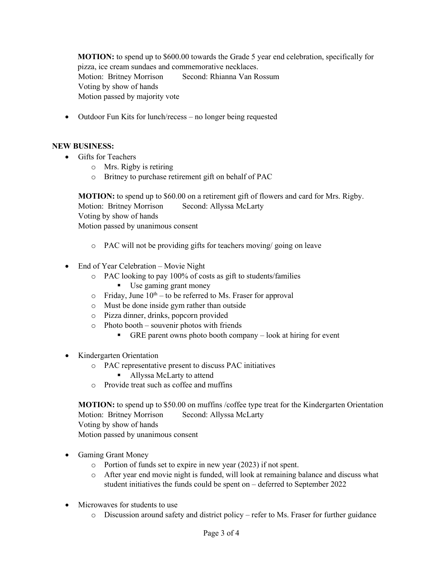**MOTION:** to spend up to \$600.00 towards the Grade 5 year end celebration, specifically for pizza, ice cream sundaes and commemorative necklaces. Motion: Britney Morrison Second: Rhianna Van Rossum Voting by show of hands Motion passed by majority vote

• Outdoor Fun Kits for lunch/recess – no longer being requested

#### **NEW BUSINESS:**

- Gifts for Teachers
	- o Mrs. Rigby is retiring
	- o Britney to purchase retirement gift on behalf of PAC

**MOTION:** to spend up to \$60.00 on a retirement gift of flowers and card for Mrs. Rigby. Motion: Britney Morrison Second: Allyssa McLarty Voting by show of hands Motion passed by unanimous consent

- o PAC will not be providing gifts for teachers moving/ going on leave
- End of Year Celebration Movie Night
	- o PAC looking to pay 100% of costs as gift to students/families
		- Use gaming grant money
	- $\circ$  Friday, June 10<sup>th</sup> to be referred to Ms. Fraser for approval
	- o Must be done inside gym rather than outside
	- o Pizza dinner, drinks, popcorn provided
	- o Photo booth souvenir photos with friends
		- GRE parent owns photo booth company look at hiring for event
- Kindergarten Orientation
	- o PAC representative present to discuss PAC initiatives
		- Allyssa McLarty to attend
	- o Provide treat such as coffee and muffins

**MOTION:** to spend up to \$50.00 on muffins /coffee type treat for the Kindergarten Orientation Motion: Britney Morrison Second: Allyssa McLarty Voting by show of hands

Motion passed by unanimous consent

- Gaming Grant Money
	- o Portion of funds set to expire in new year (2023) if not spent.
	- o After year end movie night is funded, will look at remaining balance and discuss what student initiatives the funds could be spent on – deferred to September 2022
- Microwaves for students to use
	- o Discussion around safety and district policy refer to Ms. Fraser for further guidance